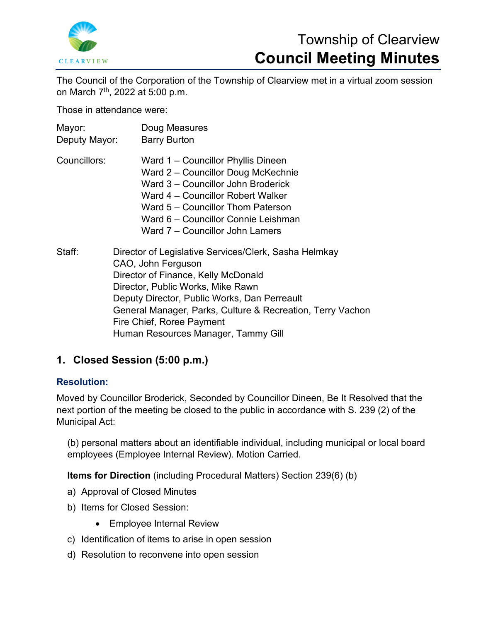

# Township of Clearview **Council Meeting Minutes**

The Council of the Corporation of the Township of Clearview met in a virtual zoom session on March 7th, 2022 at 5:00 p.m.

Those in attendance were:

| Mayor:<br>Deputy Mayor: | Doug Measures<br><b>Barry Burton</b>                                                                                                                                                                                                                                                               |
|-------------------------|----------------------------------------------------------------------------------------------------------------------------------------------------------------------------------------------------------------------------------------------------------------------------------------------------|
| Councillors:            | Ward 1 - Councillor Phyllis Dineen<br>Ward 2 - Councillor Doug McKechnie<br>Ward 3 – Councillor John Broderick<br>Ward 4 – Councillor Robert Walker<br>Ward 5 – Councillor Thom Paterson<br>Ward 6 - Councillor Connie Leishman<br>Ward 7 – Councillor John Lamers                                 |
| Staff:                  | Director of Legislative Services/Clerk, Sasha Helmkay<br>CAO, John Ferguson<br>Director of Finance, Kelly McDonald<br>Director, Public Works, Mike Rawn<br>Deputy Director, Public Works, Dan Perreault<br>General Manager, Parks, Culture & Recreation, Terry Vachon<br>Fire Chief, Roree Payment |

Human Resources Manager, Tammy Gill

# **1. Closed Session (5:00 p.m.)**

# **Resolution:**

Moved by Councillor Broderick, Seconded by Councillor Dineen, Be It Resolved that the next portion of the meeting be closed to the public in accordance with S. 239 (2) of the Municipal Act:

(b) personal matters about an identifiable individual, including municipal or local board employees (Employee Internal Review). Motion Carried.

**Items for Direction** (including Procedural Matters) Section 239(6) (b)

- a) Approval of Closed Minutes
- b) Items for Closed Session:
	- Employee Internal Review
- c) Identification of items to arise in open session
- d) Resolution to reconvene into open session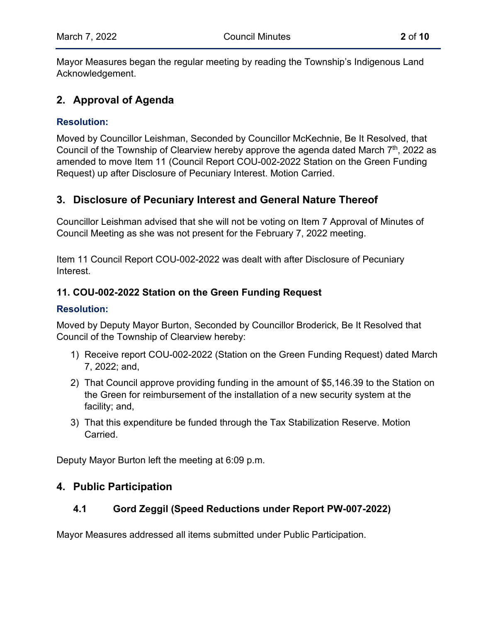Mayor Measures began the regular meeting by reading the Township's Indigenous Land Acknowledgement.

# **2. Approval of Agenda**

## **Resolution:**

Moved by Councillor Leishman, Seconded by Councillor McKechnie, Be It Resolved, that Council of the Township of Clearview hereby approve the agenda dated March  $7<sup>th</sup>$ , 2022 as amended to move Item 11 (Council Report [COU-002-2022 Station on the Green Funding](https://www.clearview.ca/sites/default/files/uploads/publications/cou-002-2022_station_on_the_green_funding_request.pdf)  [Request\)](https://www.clearview.ca/sites/default/files/uploads/publications/cou-002-2022_station_on_the_green_funding_request.pdf) up after Disclosure of Pecuniary Interest. Motion Carried.

# **3. Disclosure of Pecuniary Interest and General Nature Thereof**

Councillor Leishman advised that she will not be voting on Item 7 Approval of Minutes of Council Meeting as she was not present for the February 7, 2022 meeting.

Item 11 Council Report COU-002-2022 was dealt with after Disclosure of Pecuniary Interest.

# **11. COU-002-2022 Station on the Green Funding Request**

#### **Resolution:**

Moved by Deputy Mayor Burton, Seconded by Councillor Broderick, Be It Resolved that Council of the Township of Clearview hereby:

- 1) Receive report COU-002-2022 (Station on the Green Funding Request) dated March 7, 2022; and,
- 2) That Council approve providing funding in the amount of \$5,146.39 to the Station on the Green for reimbursement of the installation of a new security system at the facility; and,
- 3) That this expenditure be funded through the Tax Stabilization Reserve. Motion Carried.

Deputy Mayor Burton left the meeting at 6:09 p.m.

# **4. Public Participation**

# **4.1 Gord Zeggil (Speed Reductions under Report PW-007-2022)**

Mayor Measures addressed all items submitted under Public Participation.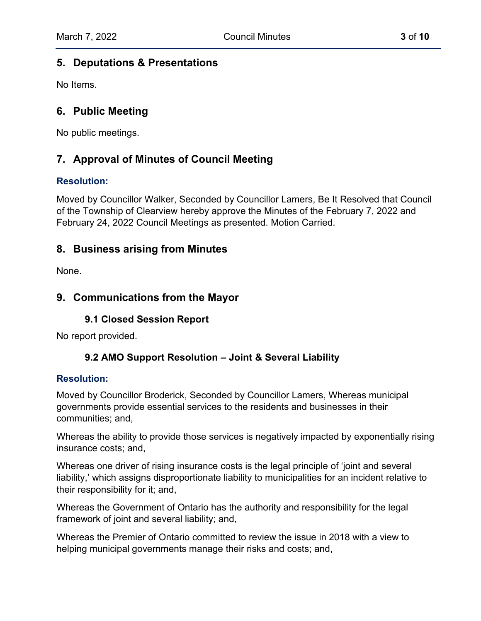## **5. Deputations & Presentations**

No Items.

# **6. Public Meeting**

No public meetings.

# **7. Approval of Minutes of Council Meeting**

#### **Resolution:**

Moved by Councillor Walker, Seconded by Councillor Lamers, Be It Resolved that Council of the Township of Clearview hereby approve the Minutes of the February 7, 2022 and February 24, 2022 Council Meetings as presented. Motion Carried.

# **8. Business arising from Minutes**

None.

# **9. Communications from the Mayor**

#### **9.1 Closed Session Report**

No report provided.

#### **9.2 [AMO](https://www.clearview.ca/sites/default/files/uploads/publications/9.2_adj-tos_funding_support_request_for_bridges_and_culverts.pdf) Support Resolution – Joint & Several Liability**

#### **Resolution:**

Moved by Councillor Broderick, Seconded by Councillor Lamers, Whereas municipal governments provide essential services to the residents and businesses in their communities; and,

Whereas the ability to provide those services is negatively impacted by exponentially rising insurance costs; and,

Whereas one driver of rising insurance costs is the legal principle of 'joint and several liability,' which assigns disproportionate liability to municipalities for an incident relative to their responsibility for it; and,

Whereas the Government of Ontario has the authority and responsibility for the legal framework of joint and several liability; and,

Whereas the Premier of Ontario committed to review the issue in 2018 with a view to helping municipal governments manage their risks and costs; and,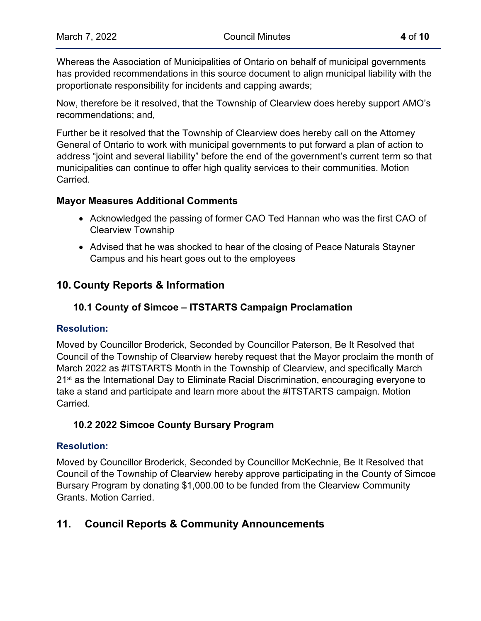Whereas the Association of Municipalities of Ontario on behalf of municipal governments has provided recommendations in this source document to align municipal liability with the proportionate responsibility for incidents and capping awards;

Now, therefore be it resolved, that the Township of Clearview does hereby support AMO's recommendations; and,

Further be it resolved that the Township of Clearview does hereby call on the Attorney General of Ontario to work with municipal governments to put forward a plan of action to address "joint and several liability" before the end of the government's current term so that municipalities can continue to offer high quality services to their communities. Motion Carried.

#### **Mayor Measures Additional Comments**

- Acknowledged the passing of former CAO Ted Hannan who was the first CAO of Clearview Township
- Advised that he was shocked to hear of the closing of Peace Naturals Stayner Campus and his heart goes out to the employees

# **10. County Reports & Information**

# **10.1 County of Simcoe – ITSTARTS Campaign Proclamation**

#### **Resolution:**

Moved by Councillor Broderick, Seconded by Councillor Paterson, Be It Resolved that Council of the Township of Clearview hereby request that the Mayor proclaim the month of March 2022 as #ITSTARTS Month in the Township of Clearview, and specifically March 21<sup>st</sup> as the International Day to Eliminate Racial Discrimination, encouraging everyone to take a stand and participate and learn more about the #ITSTARTS campaign. Motion **Carried** 

#### **10.2 2022 Simcoe County Bursary Program**

#### **Resolution:**

Moved by Councillor Broderick, Seconded by Councillor McKechnie, Be It Resolved that Council of the Township of Clearview hereby approve participating in the County of Simcoe Bursary Program by donating \$1,000.00 to be funded from the Clearview Community Grants. Motion Carried.

# **11. Council Reports & Community Announcements**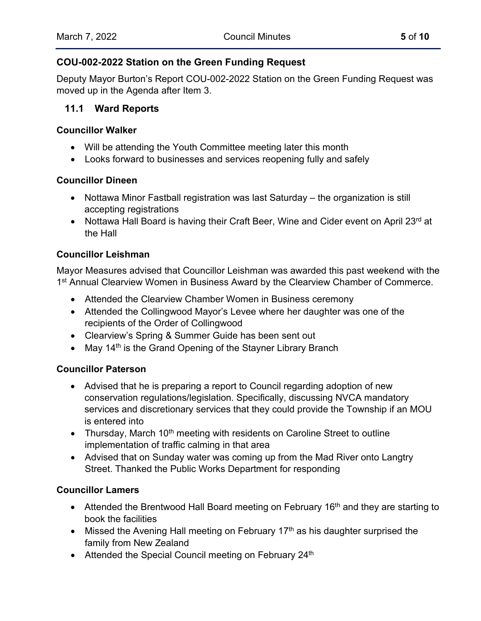## **COU-002-2022 Station on the Green Funding Request**

Deputy Mayor Burton's Report COU-002-2022 Station on the Green Funding Request was moved up in the Agenda after Item 3.

# **11.1 Ward Reports**

#### **Councillor Walker**

- Will be attending the Youth Committee meeting later this month
- Looks forward to businesses and services reopening fully and safely

#### **Councillor Dineen**

- Nottawa Minor Fastball registration was last Saturday the organization is still accepting registrations
- Nottawa Hall Board is having their Craft Beer, Wine and Cider event on April 23rd at the Hall

#### **Councillor Leishman**

Mayor Measures advised that Councillor Leishman was awarded this past weekend with the 1<sup>st</sup> Annual Clearview Women in Business Award by the Clearview Chamber of Commerce.

- Attended the Clearview Chamber Women in Business ceremony
- Attended the Collingwood Mayor's Levee where her daughter was one of the recipients of the Order of Collingwood
- Clearview's Spring & Summer Guide has been sent out
- May 14<sup>th</sup> is the Grand Opening of the Stayner Library Branch

#### **Councillor Paterson**

- Advised that he is preparing a report to Council regarding adoption of new conservation regulations/legislation. Specifically, discussing NVCA mandatory services and discretionary services that they could provide the Township if an MOU is entered into
- Thursday, March 10<sup>th</sup> meeting with residents on Caroline Street to outline implementation of traffic calming in that area
- Advised that on Sunday water was coming up from the Mad River onto Langtry Street. Thanked the Public Works Department for responding

#### **Councillor Lamers**

- Attended the Brentwood Hall Board meeting on February 16<sup>th</sup> and they are starting to book the facilities
- Missed the Avening Hall meeting on February  $17<sup>th</sup>$  as his daughter surprised the family from New Zealand
- Attended the Special Council meeting on February 24<sup>th</sup>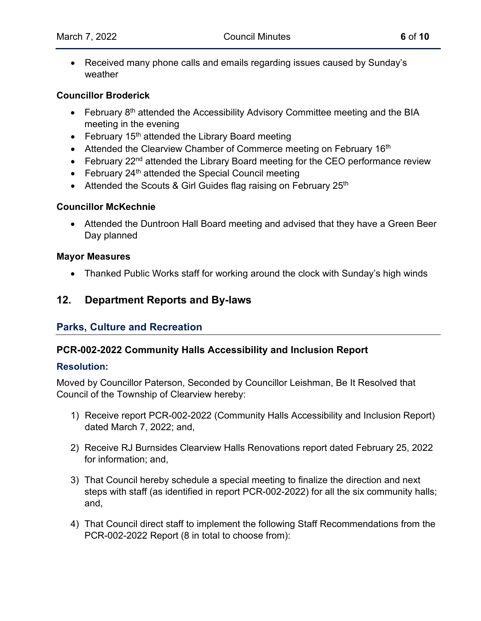• Received many phone calls and emails regarding issues caused by Sunday's weather

#### **Councillor Broderick**

- February  $8<sup>th</sup>$  attended the Accessibility Advisory Committee meeting and the BIA meeting in the evening
- February  $15<sup>th</sup>$  attended the Library Board meeting
- Attended the Clearview Chamber of Commerce meeting on February 16<sup>th</sup>
- February 22<sup>nd</sup> attended the Library Board meeting for the CEO performance review
- February  $24<sup>th</sup>$  attended the Special Council meeting
- Attended the Scouts & Girl Guides flag raising on February 25<sup>th</sup>

#### **Councillor McKechnie**

• Attended the Duntroon Hall Board meeting and advised that they have a Green Beer Day planned

#### **Mayor Measures**

• Thanked Public Works staff for working around the clock with Sunday's high winds

# **12. Department Reports and By-laws**

# **Parks, Culture and Recreation**

#### **[PCR-002-2022 Community Halls Accessibility and Inclusion Report](https://www.clearview.ca/sites/default/files/uploads/publications/pcr-002-2022_community_halls_accessibility_and_inclusion_report_tv_rev2.pdf)**

#### **Resolution:**

Moved by Councillor Paterson, Seconded by Councillor Leishman, Be It Resolved that Council of the Township of Clearview hereby:

- 1) Receive report PCR-002-2022 (Community Halls Accessibility and Inclusion Report) dated March 7, 2022; and,
- 2) Receive RJ Burnsides Clearview Halls Renovations report dated February 25, 2022 for information; and,
- 3) That Council hereby schedule a special meeting to finalize the direction and next steps with staff (as identified in report PCR-002-2022) for all the six community halls; and,
- 4) That Council direct staff to implement the following Staff Recommendations from the PCR-002-2022 Report (8 in total to choose from):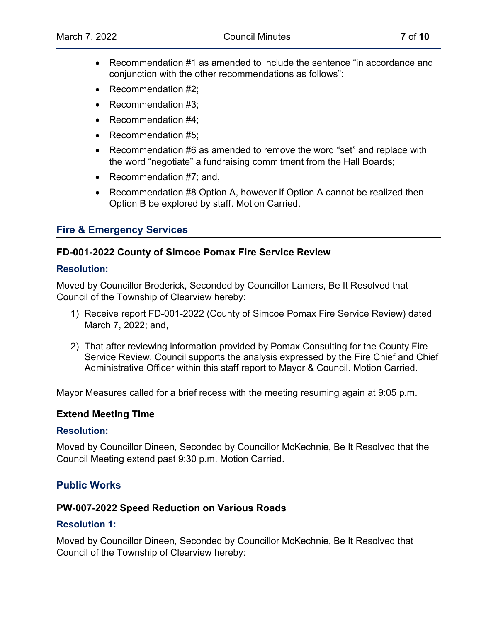- Recommendation #1 as amended to include the sentence "in accordance and conjunction with the other recommendations as follows":
- Recommendation #2:
- Recommendation #3:
- Recommendation #4;
- Recommendation #5:
- Recommendation #6 as amended to remove the word "set" and replace with the word "negotiate" a fundraising commitment from the Hall Boards;
- Recommendation #7; and,
- Recommendation #8 Option A, however if Option A cannot be realized then Option B be explored by staff. Motion Carried.

# **Fire & Emergency Services**

#### **FD-001-2022 County of Simcoe Pomax Fire Service Review**

#### **Resolution:**

Moved by Councillor Broderick, Seconded by Councillor Lamers, Be It Resolved that Council of the Township of Clearview hereby:

- 1) Receive report FD-001-2022 (County of Simcoe Pomax Fire Service Review) dated March 7, 2022; and,
- 2) That after reviewing information provided by Pomax Consulting for the County Fire Service Review, Council supports the analysis expressed by the Fire Chief and Chief Administrative Officer within this staff report to Mayor & Council. Motion Carried.

Mayor Measures called for a brief recess with the meeting resuming again at 9:05 p.m.

#### **Extend Meeting Time**

#### **Resolution:**

Moved by Councillor Dineen, Seconded by Councillor McKechnie, Be It Resolved that the Council Meeting extend past 9:30 p.m. Motion Carried.

#### **Public Works**

#### **PW-007-2022 Speed Reduction on Various Roads**

#### **Resolution 1:**

Moved by Councillor Dineen, Seconded by Councillor McKechnie, Be It Resolved that Council of the Township of Clearview hereby: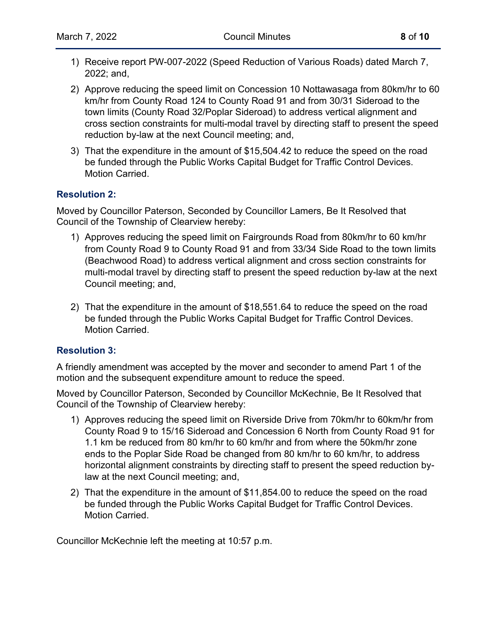- 1) Receive report PW-007-2022 (Speed Reduction of Various Roads) dated March 7, 2022; and,
- 2) Approve reducing the speed limit on Concession 10 Nottawasaga from 80km/hr to 60 km/hr from County Road 124 to County Road 91 and from 30/31 Sideroad to the town limits (County Road 32/Poplar Sideroad) to address vertical alignment and cross section constraints for multi-modal travel by directing staff to present the speed reduction by-law at the next Council meeting; and,
- 3) That the expenditure in the amount of \$15,504.42 to reduce the speed on the road be funded through the Public Works Capital Budget for Traffic Control Devices. Motion Carried.

#### **Resolution 2:**

Moved by Councillor Paterson, Seconded by Councillor Lamers, Be It Resolved that Council of the Township of Clearview hereby:

- 1) Approves reducing the speed limit on Fairgrounds Road from 80km/hr to 60 km/hr from County Road 9 to County Road 91 and from 33/34 Side Road to the town limits (Beachwood Road) to address vertical alignment and cross section constraints for multi-modal travel by directing staff to present the speed reduction by-law at the next Council meeting; and,
- 2) That the expenditure in the amount of \$18,551.64 to reduce the speed on the road be funded through the Public Works Capital Budget for Traffic Control Devices. Motion Carried.

#### **Resolution 3:**

A friendly amendment was accepted by the mover and seconder to amend Part 1 of the motion and the subsequent expenditure amount to reduce the speed.

Moved by Councillor Paterson, Seconded by Councillor McKechnie, Be It Resolved that Council of the Township of Clearview hereby:

- 1) Approves reducing the speed limit on Riverside Drive from 70km/hr to 60km/hr from County Road 9 to 15/16 Sideroad and Concession 6 North from County Road 91 for 1.1 km be reduced from 80 km/hr to 60 km/hr and from where the 50km/hr zone ends to the Poplar Side Road be changed from 80 km/hr to 60 km/hr, to address horizontal alignment constraints by directing staff to present the speed reduction bylaw at the next Council meeting; and,
- 2) That the expenditure in the amount of \$11,854.00 to reduce the speed on the road be funded through the Public Works Capital Budget for Traffic Control Devices. Motion Carried.

Councillor McKechnie left the meeting at 10:57 p.m.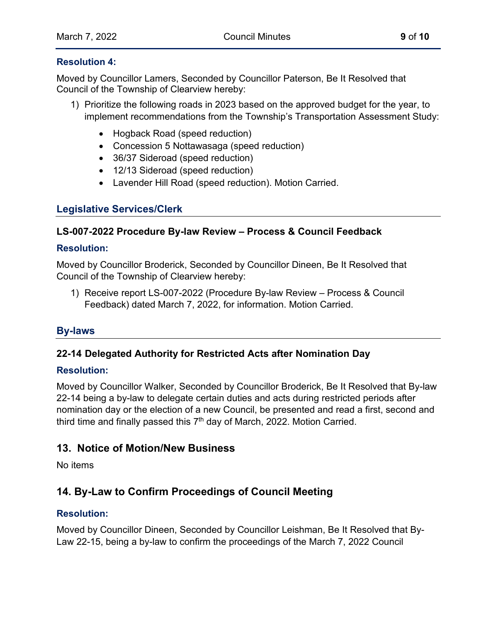#### **Resolution 4:**

Moved by Councillor Lamers, Seconded by Councillor Paterson, Be It Resolved that Council of the Township of Clearview hereby:

- 1) Prioritize the following roads in 2023 based on the approved budget for the year, to implement recommendations from the Township's Transportation Assessment Study:
	- Hogback Road (speed reduction)
	- Concession 5 Nottawasaga (speed reduction)
	- 36/37 Sideroad (speed reduction)
	- 12/13 Sideroad (speed reduction)
	- Lavender Hill Road (speed reduction). Motion Carried.

# **Legislative Services/Clerk**

# **LS-007-2022 Procedure By-law Review – Process & Council Feedback**

#### **Resolution:**

Moved by Councillor Broderick, Seconded by Councillor Dineen, Be It Resolved that Council of the Township of Clearview hereby:

1) Receive report LS-007-2022 (Procedure By-law Review – Process & Council Feedback) dated March 7, 2022, for information. Motion Carried.

# **By-laws**

#### **22-14 Delegated Authority for Restricted Acts after Nomination Day**

#### **Resolution:**

Moved by Councillor Walker, Seconded by Councillor Broderick, Be It Resolved that By-law 22-14 being a by-law to delegate certain duties and acts during restricted periods after nomination day or the election of a new Council, be presented and read a first, second and third time and finally passed this  $7<sup>th</sup>$  day of March, 2022. Motion Carried.

# **13. Notice of Motion/New Business**

No items

# **14. By-Law to Confirm Proceedings of Council Meeting**

#### **Resolution:**

Moved by Councillor Dineen, Seconded by Councillor Leishman, Be It Resolved that By-Law 22-15, being a by-law to confirm the proceedings of the March 7, 2022 Council